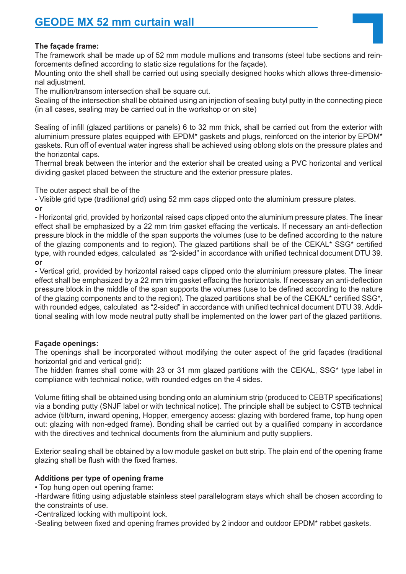## **The façade frame:**

The framework shall be made up of 52 mm module mullions and transoms (steel tube sections and reinforcements defined according to static size regulations for the façade).

Mounting onto the shell shall be carried out using specially designed hooks which allows three-dimensional adjustment.

The mullion/transom intersection shall be square cut.

Sealing of the intersection shall be obtained using an injection of sealing butyl putty in the connecting piece (in all cases, sealing may be carried out in the workshop or on site)

Sealing of infill (glazed partitions or panels) 6 to 32 mm thick, shall be carried out from the exterior with aluminium pressure plates equipped with EPDM\* gaskets and plugs, reinforced on the interior by EPDM\* gaskets. Run off of eventual water ingress shall be achieved using oblong slots on the pressure plates and the horizontal caps.

Thermal break between the interior and the exterior shall be created using a PVC horizontal and vertical dividing gasket placed between the structure and the exterior pressure plates.

The outer aspect shall be of the

- Visible grid type (traditional grid) using 52 mm caps clipped onto the aluminium pressure plates. **or**

- Horizontal grid, provided by horizontal raised caps clipped onto the aluminium pressure plates. The linear effect shall be emphasized by a 22 mm trim gasket effacing the verticals. If necessary an anti-deflection pressure block in the middle of the span supports the volumes (use to be defined according to the nature of the glazing components and to region). The glazed partitions shall be of the CEKAL\* SSG\* certified type, with rounded edges, calculated as "2-sided" in accordance with unified technical document DTU 39. **or**

- Vertical grid, provided by horizontal raised caps clipped onto the aluminium pressure plates. The linear effect shall be emphasized by a 22 mm trim gasket effacing the horizontals. If necessary an anti-deflection pressure block in the middle of the span supports the volumes (use to be defined according to the nature of the glazing components and to the region). The glazed partitions shall be of the CEKAL\* certified SSG\*, with rounded edges, calculated as "2-sided" in accordance with unified technical document DTU 39. Additional sealing with low mode neutral putty shall be implemented on the lower part of the glazed partitions.

## **Façade openings:**

The openings shall be incorporated without modifying the outer aspect of the grid façades (traditional horizontal grid and vertical grid):

The hidden frames shall come with 23 or 31 mm glazed partitions with the CEKAL, SSG\* type label in compliance with technical notice, with rounded edges on the 4 sides.

Volume fitting shall be obtained using bonding onto an aluminium strip (produced to CEBTP specifications) via a bonding putty (SNJF label or with technical notice). The principle shall be subject to CSTB technical advice (tilt/turn, inward opening, Hopper, emergency access: glazing with bordered frame, top hung open out: glazing with non-edged frame). Bonding shall be carried out by a qualified company in accordance with the directives and technical documents from the aluminium and putty suppliers.

Exterior sealing shall be obtained by a low module gasket on butt strip. The plain end of the opening frame glazing shall be flush with the fixed frames.

## **Additions per type of opening frame**

• Top hung open out opening frame:

-Hardware fitting using adjustable stainless steel parallelogram stays which shall be chosen according to the constraints of use.

-Centralized locking with multipoint lock.

-Sealing between fixed and opening frames provided by 2 indoor and outdoor EPDM\* rabbet gaskets.